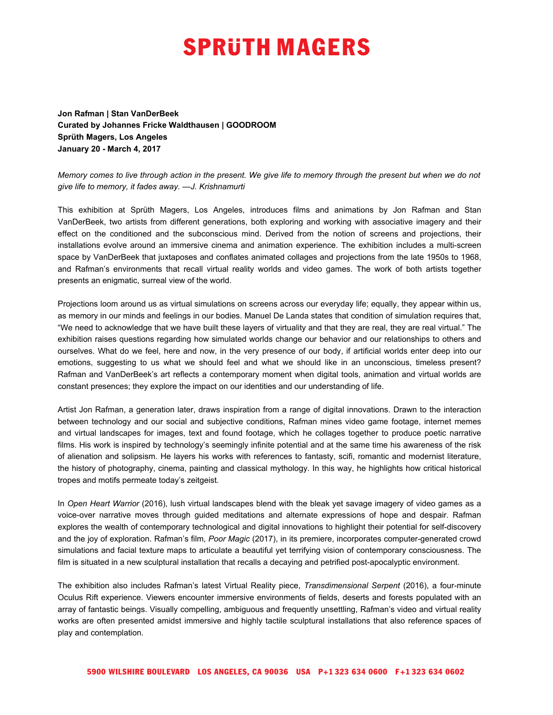## **SPRUTH MAGERS**

**Jon Rafman | Stan VanDerBeek Curated by Johannes Fricke Waldthausen | GOODROOM Sprüth Magers, Los Angeles January 20 - March 4, 2017**

Memory comes to live through action in the present. We give life to memory through the present but when we do not *give life to memory, it fades away. —J. Krishnamurti*

This exhibition at Sprüth Magers, Los Angeles, introduces films and animations by Jon Rafman and Stan VanDerBeek, two artists from different generations, both exploring and working with associative imagery and their effect on the conditioned and the subconscious mind. Derived from the notion of screens and projections, their installations evolve around an immersive cinema and animation experience. The exhibition includes a multi-screen space by VanDerBeek that juxtaposes and conflates animated collages and projections from the late 1950s to 1968, and Rafman's environments that recall virtual reality worlds and video games. The work of both artists together presents an enigmatic, surreal view of the world.

Projections loom around us as virtual simulations on screens across our everyday life; equally, they appear within us, as memory in our minds and feelings in our bodies. Manuel De Landa states that condition of simulation requires that, "We need to acknowledge that we have built these layers of virtuality and that they are real, they are real virtual." The exhibition raises questions regarding how simulated worlds change our behavior and our relationships to others and ourselves. What do we feel, here and now, in the very presence of our body, if artificial worlds enter deep into our emotions, suggesting to us what we should feel and what we should like in an unconscious, timeless present? Rafman and VanDerBeek's art reflects a contemporary moment when digital tools, animation and virtual worlds are constant presences; they explore the impact on our identities and our understanding of life.

Artist Jon Rafman, a generation later, draws inspiration from a range of digital innovations. Drawn to the interaction between technology and our social and subjective conditions, Rafman mines video game footage, internet memes and virtual landscapes for images, text and found footage, which he collages together to produce poetic narrative films. His work is inspired by technology's seemingly infinite potential and at the same time his awareness of the risk of alienation and solipsism. He layers his works with references to fantasty, scifi, romantic and modernist literature, the history of photography, cinema, painting and classical mythology. In this way, he highlights how critical historical tropes and motifs permeate today's zeitgeist*.*

In *Open Heart Warrior* (2016), lush virtual landscapes blend with the bleak yet savage imagery of video games as a voice-over narrative moves through guided meditations and alternate expressions of hope and despair. Rafman explores the wealth of contemporary technological and digital innovations to highlight their potential for self-discovery and the joy of exploration. Rafman's film, *Poor Magic* (2017), in its premiere, incorporates computer-generated crowd simulations and facial texture maps to articulate a beautiful yet terrifying vision of contemporary consciousness. The film is situated in a new sculptural installation that recalls a decaying and petrified post-apocalyptic environment.

The exhibition also includes Rafman's latest Virtual Reality piece, *Transdimensional Serpent* (2016), a four-minute Oculus Rift experience. Viewers encounter immersive environments of fields, deserts and forests populated with an array of fantastic beings. Visually compelling, ambiguous and frequently unsettling, Rafman's video and virtual reality works are often presented amidst immersive and highly tactile sculptural installations that also reference spaces of play and contemplation.